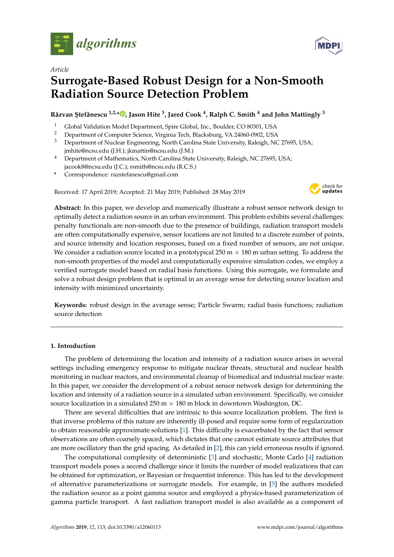

*Article*

# **Surrogate-Based Robust Design for a Non-Smooth Radiation Source Detection Problem**

**R ˘azvan ¸Stef ˘anescu 1,2,\* [,](https://orcid.org/0000-0003-4591-6891) Jason Hite <sup>3</sup> , Jared Cook <sup>4</sup> , Ralph C. Smith <sup>4</sup> and John Mattingly <sup>3</sup>**

- <sup>1</sup> Global Validation Model Department, Spire Global, Inc., Boulder, CO 80301, USA<br><sup>2</sup> Department of Computer Science, Virginia Tech Blocksburg, VA 24060,0002, USA
- <sup>2</sup> Department of Computer Science, Virginia Tech, Blacksburg, VA 24060-0902, USA<br><sup>3</sup> Department of Nuclear Engineering, Nerth Carolina State University, Polaigh, NG
- <sup>3</sup> Department of Nuclear Engineering, North Carolina State University, Raleigh, NC 27695, USA; jmhite@ncsu.edu (J.H.); jkmattin@ncsu.edu (J.M.)
- <sup>4</sup> Department of Mathematics, North Carolina State University, Raleigh, NC 27695, USA; jacook8@ncsu.edu (J.C.); rsmith@ncsu.edu (R.C.S.)
- **\*** Correspondence: razstefanescu@gmail.com

Received: 17 April 2019; Accepted: 21 May 2019; Published: 28 May 2019



**Abstract:** In this paper, we develop and numerically illustrate a robust sensor network design to optimally detect a radiation source in an urban environment. This problem exhibits several challenges: penalty functionals are non-smooth due to the presence of buildings, radiation transport models are often computationally expensive, sensor locations are not limited to a discrete number of points, and source intensity and location responses, based on a fixed number of sensors, are not unique. We consider a radiation source located in a prototypical 250 m  $\times$  180 m urban setting. To address the non-smooth properties of the model and computationally expensive simulation codes, we employ a verified surrogate model based on radial basis functions. Using this surrogate, we formulate and solve a robust design problem that is optimal in an average sense for detecting source location and intensity with minimized uncertainty.

**Keywords:** robust design in the average sense; Particle Swarm; radial basis functions; radiation source detection

# **1. Introduction**

The problem of determining the location and intensity of a radiation source arises in several settings including emergency response to mitigate nuclear threats, structural and nuclear health monitoring in nuclear reactors, and environmental cleanup of biomedical and industrial nuclear waste. In this paper, we consider the development of a robust sensor network design for determining the location and intensity of a radiation source in a simulated urban environment. Specifically, we consider source localization in a simulated  $250 \text{ m} \times 180 \text{ m}$  block in downtown Washington, DC.

There are several difficulties that are intrinsic to this source localization problem. The first is that inverse problems of this nature are inherently ill-posed and require some form of regularization to obtain reasonable approximate solutions [\[1\]](#page-15-0). This difficulty is exacerbated by the fact that sensor observations are often coarsely spaced, which dictates that one cannot estimate source attributes that are more oscillatory than the grid spacing. As detailed in [\[2\]](#page-15-1), this can yield erroneous results if ignored.

The computational complexity of deterministic [\[3\]](#page-15-2) and stochastic, Monte Carlo [\[4\]](#page-15-3) radiation transport models poses a second challenge since it limits the number of model realizations that can be obtained for optimization, or Bayesian or frequentist inference. This has led to the development of alternative parameterizations or surrogate models. For example, in [\[5\]](#page-15-4) the authors modeled the radiation source as a point gamma source and employed a physics-based parameterization of gamma particle transport. A fast radiation transport model is also available as a component of

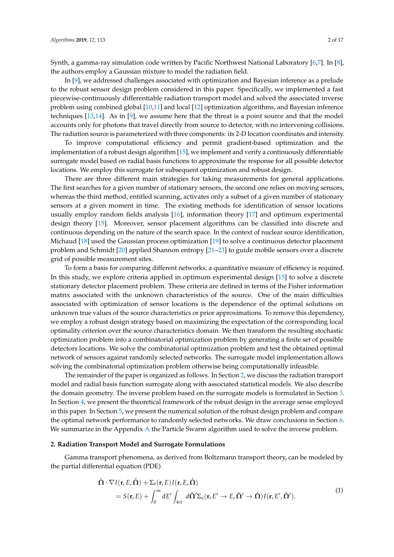Synth, a gamma-ray simulation code written by Pacific Northwest National Laboratory [\[6](#page-15-5)[,7\]](#page-15-6). In [\[8\]](#page-15-7), the authors employ a Gaussian mixture to model the radiation field.

In [\[9\]](#page-16-0), we addressed challenges associated with optimization and Bayesian inference as a prelude to the robust sensor design problem considered in this paper. Specifically, we implemented a fast piecewise-continuously differentiable radiation transport model and solved the associated inverse problem using combined global [\[10](#page-16-1)[,11\]](#page-16-2) and local [\[12\]](#page-16-3) optimization algorithms, and Bayesian inference techniques [\[13,](#page-16-4)[14\]](#page-16-5). As in [\[9\]](#page-16-0), we assume here that the threat is a point source and that the model accounts only for photons that travel directly from source to detector, with no intervening collisions. The radiation source is parameterized with three components: its 2-D location coordinates and intensity.

To improve computational efficiency and permit gradient-based optimization and the implementation of a robust design algorithm [\[15\]](#page-16-6), we implement and verify a continuously differentiable surrogate model based on radial basis functions to approximate the response for all possible detector locations. We employ this surrogate for subsequent optimization and robust design.

There are three different main strategies for taking measurements for general applications. The first searches for a given number of stationary sensors, the second one relies on moving sensors, whereas the third method, entitled scanning, activates only a subset of a given number of stationary sensors at a given moment in time. The existing methods for identification of sensor locations usually employ random fields analysis [\[16\]](#page-16-7), information theory [\[17\]](#page-16-8) and optimum experimental design theory [\[15\]](#page-16-6). Moreover, sensor placement algorithms can be classified into discrete and continuous depending on the nature of the search space. In the context of nuclear source identification, Michaud [\[18\]](#page-16-9) used the Gaussian process optimization [\[19\]](#page-16-10) to solve a continuous detector placement problem and Schmidt [\[20\]](#page-16-11) applied Shannon entropy [\[21–](#page-16-12)[23\]](#page-16-13) to guide mobile sensors over a discrete grid of possible measurement sites.

To form a basis for comparing different networks, a quantitative measure of efficiency is required. In this study, we explore criteria applied in optimum experimental design [\[15\]](#page-16-6) to solve a discrete stationary detector placement problem. These criteria are defined in terms of the Fisher information matrix associated with the unknown characteristics of the source. One of the main difficulties associated with optimization of sensor locations is the dependence of the optimal solutions on unknown true values of the source characteristics or prior approximations. To remove this dependency, we employ a robust design strategy based on maximizing the expectation of the corresponding local optimality criterion over the source characteristics domain. We then transform the resulting stochastic optimization problem into a combinatorial optimization problem by generating a finite set of possible detectors locations. We solve the combinatorial optimization problem and test the obtained optimal network of sensors against randomly selected networks. The surrogate model implementation allows solving the combinatorial optimization problem otherwise being computationally infeasible.

The remainder of the paper is organized as follows. In Section [2,](#page-1-0) we discuss the radiation transport model and radial basis function surrogate along with associated statistical models. We also describe the domain geometry. The inverse problem based on the surrogate models is formulated in Section [3.](#page-5-0) In Section [4,](#page-6-0) we present the theoretical framework of the robust design in the average sense employed in this paper. In Section [5,](#page-8-0) we present the numerical solution of the robust design problem and compare the optimal network performance to randomly selected networks. We draw conclusions in Section [6.](#page-13-0) We summarize in the [A](#page-14-0)ppendix A the Particle Swarm algorithm used to solve the inverse problem.

## <span id="page-1-0"></span>**2. Radiation Transport Model and Surrogate Formulations**

<span id="page-1-1"></span>Gamma transport phenomena, as derived from Boltzmann transport theory, can be modeled by the partial differential equation (PDE)

$$
\hat{\mathbf{\Omega}} \cdot \nabla I(\mathbf{r}, E, \hat{\mathbf{\Omega}}) + \Sigma_t(\mathbf{r}, E) I(\mathbf{r}, E, \hat{\mathbf{\Omega}})
$$
\n
$$
= S(\mathbf{r}, E) + \int_0^\infty dE' \int_{4\pi} d\hat{\mathbf{\Omega}}' \Sigma_s(\mathbf{r}, E' \to E, \hat{\mathbf{\Omega}}' \to \hat{\mathbf{\Omega}}) I(\mathbf{r}, E', \hat{\mathbf{\Omega}}'). \tag{1}
$$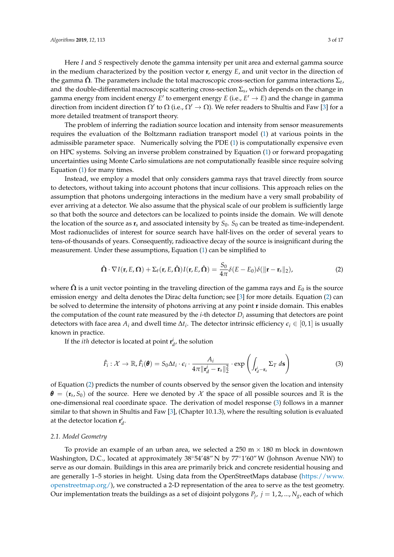Here *I* and *S* respectively denote the gamma intensity per unit area and external gamma source in the medium characterized by the position vector **r**, energy *E*, and unit vector in the direction of the gamma  ${\bf \hat{\Omega}}.$  The parameters include the total macroscopic cross-section for gamma interactions  $\Sigma_t$ , and the double-differential macroscopic scattering cross-section Σ*<sup>s</sup>* , which depends on the change in gamma energy from incident energy  $E'$  to emergent energy  $E$  (i.e.,  $E' \to E$ ) and the change in gamma direction from incident direction  $\Omega'$  to  $\Omega$  (i.e.,  $\Omega' \to \Omega$ ). We refer readers to Shultis and Faw [\[3\]](#page-15-2) for a more detailed treatment of transport theory.

The problem of inferring the radiation source location and intensity from sensor measurements requires the evaluation of the Boltzmann radiation transport model [\(1\)](#page-1-1) at various points in the admissible parameter space. Numerically solving the PDE [\(1\)](#page-1-1) is computationally expensive even on HPC systems. Solving an inverse problem constrained by Equation [\(1\)](#page-1-1) or forward propagating uncertainties using Monte Carlo simulations are not computationally feasible since require solving Equation [\(1\)](#page-1-1) for many times.

Instead, we employ a model that only considers gamma rays that travel directly from source to detectors, without taking into account photons that incur collisions. This approach relies on the assumption that photons undergoing interactions in the medium have a very small probability of ever arriving at a detector. We also assume that the physical scale of our problem is sufficiently large so that both the source and detectors can be localized to points inside the domain. We will denote the location of the source as  $\mathbf{r}_s$  and associated intensity by  $S_0$ .  $S_0$  can be treated as time-independent. Most radionuclides of interest for source search have half-lives on the order of several years to tens-of-thousands of years. Consequently, radioactive decay of the source is insignificant during the measurement. Under these assumptions, Equation [\(1\)](#page-1-1) can be simplified to

<span id="page-2-0"></span>
$$
\hat{\mathbf{\Omega}} \cdot \nabla I(\mathbf{r}, E, \mathbf{\Omega}) + \Sigma_t(\mathbf{r}, E, \hat{\mathbf{\Omega}}) I(\mathbf{r}, E, \hat{\mathbf{\Omega}}) = \frac{S_0}{4\pi} \delta(E - E_0) \delta(\|\mathbf{r} - \mathbf{r}_s\|_2), \tag{2}
$$

where  $\hat{\Omega}$  is a unit vector pointing in the traveling direction of the gamma rays and  $E_0$  is the source emission energy and delta denotes the Dirac delta function; see [\[3\]](#page-15-2) for more details. Equation [\(2\)](#page-2-0) can be solved to determine the intensity of photons arriving at any point **r** inside domain. This enables the computation of the count rate measured by the *i*-th detector  $D_i$  assuming that detectors are point detectors with face area  $A_i$  and dwell time  $\Delta t_i$ . The detector intrinsic efficiency  $\epsilon_i \in [0,1]$  is usually known in practice.

If the *ith* detector is located at point  $\mathbf{r}_{d}^{i}$ , the solution

<span id="page-2-1"></span>
$$
\hat{F}_i: \mathcal{X} \to \mathbb{R}, \hat{F}_i(\boldsymbol{\theta}) = S_0 \Delta t_i \cdot \epsilon_i \cdot \frac{A_i}{4\pi ||\mathbf{r}_d^i - \mathbf{r}_s||_2^2} \cdot \exp\left(\int_{\mathbf{r}_d^i - \mathbf{r}_s} \Sigma_T \, d\mathbf{s}\right)
$$
(3)

of Equation [\(2\)](#page-2-0) predicts the number of counts observed by the sensor given the location and intensity  $\theta = (\mathbf{r}_s, S_0)$  of the source. Here we denoted by  $\mathcal X$  the space of all possible sources and  $\mathbb R$  is the one-dimensional real coordinate space. The derivation of model response [\(3\)](#page-2-1) follows in a manner similar to that shown in Shultis and Faw [\[3\]](#page-15-2), (Chapter 10.1.3), where the resulting solution is evaluated at the detector location  $\mathbf{r}_d^i$ .

## *2.1. Model Geometry*

To provide an example of an urban area, we selected a  $250 \text{ m} \times 180 \text{ m}$  block in downtown Washington, D.C., located at approximately 38◦54'48" N by 77◦1'60"W (Johnson Avenue NW) to serve as our domain. Buildings in this area are primarily brick and concrete residential housing and are generally 1–5 stories in height. Using data from the OpenStreetMaps database [\(https://www.](https://www.openstreetmap.org/) [openstreetmap.org/\)](https://www.openstreetmap.org/), we constructed a 2-D representation of the area to serve as the test geometry. Our implementation treats the buildings as a set of disjoint polygons  $P_j$ ,  $j = 1, 2, ..., N_g$ , each of which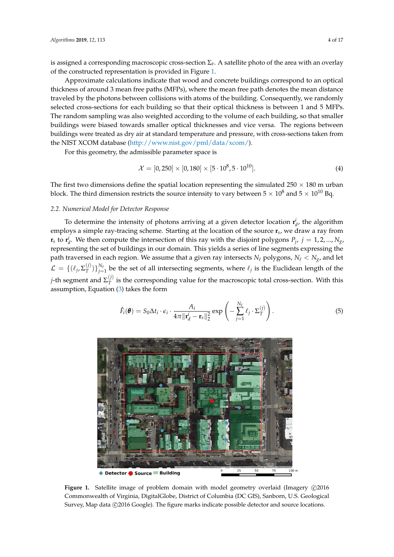is assigned a corresponding macroscopic cross-section Σ*<sup>t</sup>* . A satellite photo of the area with an overlay of the constructed representation is provided in Figure [1.](#page-3-0)

Approximate calculations indicate that wood and concrete buildings correspond to an optical thickness of around 3 mean free paths (MFPs), where the mean free path denotes the mean distance traveled by the photons between collisions with atoms of the building. Consequently, we randomly selected cross-sections for each building so that their optical thickness is between 1 and 5 MFPs. The random sampling was also weighted according to the volume of each building, so that smaller buildings were biased towards smaller optical thicknesses and vice versa. The regions between buildings were treated as dry air at standard temperature and pressure, with cross-sections taken from the NIST XCOM database [\(http://www.nist.gov/pml/data/xcom/\)](http://www.nist.gov/pml/data/xcom/).

For this geometry, the admissible parameter space is

<span id="page-3-2"></span>
$$
\mathcal{X} = [0, 250] \times [0, 180] \times [5 \cdot 10^8, 5 \cdot 10^{10}]. \tag{4}
$$

The first two dimensions define the spatial location representing the simulated 250  $\times$  180 m urban block. The third dimension restricts the source intensity to vary between  $5 \times 10^8$  and  $5 \times 10^{10}$  Bq.

## <span id="page-3-3"></span>*2.2. Numerical Model for Detector Response*

To determine the intensity of photons arriving at a given detector location  $\mathbf{r}_{d}^{i}$ , the algorithm employs a simple ray-tracing scheme. Starting at the location of the source **r***s* , we draw a ray from  $\mathbf{r}_s$  to  $\mathbf{r}_d^i$ . We then compute the intersection of this ray with the disjoint polygons  $P_j$ ,  $j = 1, 2, ..., N_g$ , representing the set of buildings in our domain. This yields a series of line segments expressing the path traversed in each region. We assume that a given ray intersects  $N_\ell$  polygons,  $N_\ell < N_g$ , and let  $\mathcal{L} \,=\, \{(\ell_j, \Sigma_T^{(j)}\,)$  $T^{(j)}\}_{j=1}^{N_{\ell}}$  be the set of all intersecting segments, where  $\ell_j$  is the Euclidean length of the  $j$ -th segment and  $\Sigma^{(j)}_T$  $T$ <sup> $U$ </sup> is the corresponding value for the macroscopic total cross-section. With this assumption, Equation [\(3\)](#page-2-1) takes the form

<span id="page-3-1"></span>
$$
\hat{F}_i(\boldsymbol{\theta}) = S_0 \Delta t_i \cdot \epsilon_i \cdot \frac{A_i}{4\pi ||\mathbf{r}_d^i - \mathbf{r}_s||_2^2} \exp\left(-\sum_{j=1}^{N_\ell} \ell_j \cdot \Sigma_T^{(j)}\right).
$$
\n(5)

<span id="page-3-0"></span>

Figure 1. Satellite image of problem domain with model geometry overlaid (Imagery ©2016 Commonwealth of Virginia, DigitalGlobe, District of Columbia (DC GIS), Sanborn, U.S. Geological Survey, Map data ( $\odot$ 2016 Google). The figure marks indicate possible detector and source locations.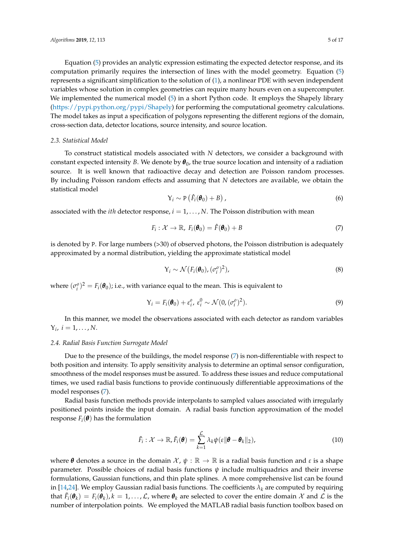Equation [\(5\)](#page-3-1) provides an analytic expression estimating the expected detector response, and its computation primarily requires the intersection of lines with the model geometry. Equation [\(5\)](#page-3-1) represents a significant simplification to the solution of [\(1\)](#page-1-1), a nonlinear PDE with seven independent variables whose solution in complex geometries can require many hours even on a supercomputer. We implemented the numerical model [\(5\)](#page-3-1) in a short Python code. It employs the Shapely library [\(https://pypi.python.org/pypi/Shapely\)](https://pypi.python.org/pypi/Shapely) for performing the computational geometry calculations. The model takes as input a specification of polygons representing the different regions of the domain, cross-section data, detector locations, source intensity, and source location.

### *2.3. Statistical Model*

To construct statistical models associated with *N* detectors, we consider a background with constant expected intensity *B*. We denote by  $\theta_0$ , the true source location and intensity of a radiation source. It is well known that radioactive decay and detection are Poisson random processes. By including Poisson random effects and assuming that *N* detectors are available, we obtain the statistical model

$$
Y_i \sim P\left(\hat{F}_i(\boldsymbol{\theta}_0) + B\right),\tag{6}
$$

associated with the *ith* detector response, *i* = 1, . . . , *N*. The Poisson distribution with mean

<span id="page-4-0"></span>
$$
F_i: \mathcal{X} \to \mathbb{R}, \ F_i(\boldsymbol{\theta}_0) = \hat{F}(\boldsymbol{\theta}_0) + B \tag{7}
$$

is denoted by P. For large numbers (>30) of observed photons, the Poisson distribution is adequately approximated by a normal distribution, yielding the approximate statistical model

$$
Y_i \sim \mathcal{N}\big(F_i(\boldsymbol{\theta}_0), (\sigma_i^o)^2\big),\tag{8}
$$

where  $(\sigma_i^o)^2 = F_i(\boldsymbol{\theta}_0)$ ; i.e., with variance equal to the mean. This is equivalent to

<span id="page-4-1"></span>
$$
Y_i = F_i(\boldsymbol{\theta}_0) + \varepsilon_i^0, \ \varepsilon_i^0 \sim \mathcal{N}(0, (\sigma_i^0)^2).
$$
 (9)

In this manner, we model the observations associated with each detector as random variables  $Y_i, i = 1, \ldots, N.$ 

## <span id="page-4-3"></span>*2.4. Radial Basis Function Surrogate Model*

Due to the presence of the buildings, the model response  $(7)$  is non-differentiable with respect to both position and intensity. To apply sensitivity analysis to determine an optimal sensor configuration, smoothness of the model responses must be assured. To address these issues and reduce computational times, we used radial basis functions to provide continuously differentiable approximations of the model responses [\(7\)](#page-4-0).

Radial basis function methods provide interpolants to sampled values associated with irregularly positioned points inside the input domain. A radial basis function approximation of the model response  $F_i(\boldsymbol{\theta})$  has the formulation

<span id="page-4-2"></span>
$$
\tilde{F}_i: \mathcal{X} \to \mathbb{R}, \tilde{F}_i(\boldsymbol{\theta}) = \sum_{k=1}^{\mathcal{L}} \lambda_k \psi(\varepsilon || \boldsymbol{\theta} - \boldsymbol{\theta}_k ||_2), \qquad (10)
$$

where  $\theta$  denotes a source in the domain  $\mathcal{X}, \psi : \mathbb{R} \to \mathbb{R}$  is a radial basis function and  $\varepsilon$  is a shape parameter. Possible choices of radial basis functions *ψ* include multiquadrics and their inverse formulations, Gaussian functions, and thin plate splines. A more comprehensive list can be found in [\[14](#page-16-5)[,24\]](#page-16-14). We employ Gaussian radial basis functions. The coefficients  $\lambda_k$  are computed by requiring that  $\tilde{F}_i(\theta_k) = F_i(\theta_k)$ ,  $k = 1, \ldots, \mathcal{L}$ , where  $\theta_k$  are selected to cover the entire domain  $\mathcal X$  and  $\mathcal L$  is the number of interpolation points. We employed the MATLAB radial basis function toolbox based on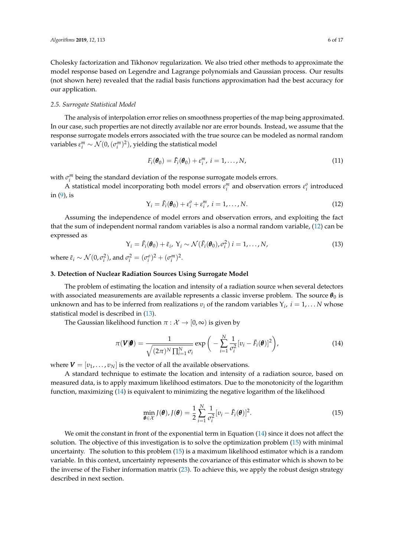Cholesky factorization and Tikhonov regularization. We also tried other methods to approximate the model response based on Legendre and Lagrange polynomials and Gaussian process. Our results (not shown here) revealed that the radial basis functions approximation had the best accuracy for our application.

## *2.5. Surrogate Statistical Model*

The analysis of interpolation error relies on smoothness properties of the map being approximated. In our case, such properties are not directly available nor are error bounds. Instead, we assume that the response surrogate models errors associated with the true source can be modeled as normal random variables  $\varepsilon_i^m \sim \mathcal{N}(0,(\sigma_i^m)^2)$ , yielding the statistical model

$$
F_i(\boldsymbol{\theta}_0) = \tilde{F}_i(\boldsymbol{\theta}_0) + \varepsilon_i^m, \ i = 1, \dots, N,
$$
\n(11)

with  $\sigma_i^m$  being the standard deviation of the response surrogate models errors.

A statistical model incorporating both model errors  $\varepsilon_i^m$  and observation errors  $\varepsilon_i^o$  introduced in [\(9\)](#page-4-1), is

<span id="page-5-1"></span>
$$
Y_i = \tilde{F}_i(\boldsymbol{\theta}_0) + \varepsilon_i^o + \varepsilon_i^m, \ i = 1, \dots, N. \tag{12}
$$

Assuming the independence of model errors and observation errors, and exploiting the fact that the sum of independent normal random variables is also a normal random variable, [\(12\)](#page-5-1) can be expressed as

<span id="page-5-2"></span>
$$
Y_i = \tilde{F}_i(\boldsymbol{\theta}_0) + \tilde{\varepsilon}_i, \ Y_i \sim \mathcal{N}(\tilde{F}_i(\boldsymbol{\theta}_0), \sigma_i^2) \ i = 1, \dots, N,
$$
\n(13)

where  $\tilde{\varepsilon}_i \sim \mathcal{N}(0, \sigma_i^2)$ , and  $\sigma_i^2 = (\sigma_i^o)^2 + (\sigma_i^m)^2$ .

## <span id="page-5-0"></span>**3. Detection of Nuclear Radiation Sources Using Surrogate Model**

The problem of estimating the location and intensity of a radiation source when several detectors with associated measurements are available represents a classic inverse problem. The source  $\theta_0$  is unknown and has to be inferred from realizations  $v_i$  of the random variables  $Y_i$ ,  $i = 1, \ldots N$  whose statistical model is described in [\(13\)](#page-5-2).

The Gaussian likelihood function  $\pi : \mathcal{X} \to [0, \infty)$  is given by

<span id="page-5-3"></span>
$$
\pi(\mathbf{V}|\boldsymbol{\theta}) = \frac{1}{\sqrt{(2\pi)^N \prod_{i=1}^N \sigma_i}} \exp\bigg(-\sum_{i=1}^N \frac{1}{\sigma_i^2} [v_i - \tilde{F}_i(\boldsymbol{\theta})]^2\bigg),\tag{14}
$$

where  $V = [v_1, \dots, v_N]$  is the vector of all the available observations.

A standard technique to estimate the location and intensity of a radiation source, based on measured data, is to apply maximum likelihood estimators. Due to the monotonicity of the logarithm function, maximizing [\(14\)](#page-5-3) is equivalent to minimizing the negative logarithm of the likelihood

<span id="page-5-4"></span>
$$
\min_{\boldsymbol{\theta} \in \mathcal{X}} J(\boldsymbol{\theta}), J(\boldsymbol{\theta}) = \frac{1}{2} \sum_{i=1}^{N} \frac{1}{\sigma_i^2} [v_i - \tilde{F}_i(\boldsymbol{\theta})]^2.
$$
\n(15)

We omit the constant in front of the exponential term in Equation [\(14\)](#page-5-3) since it does not affect the solution. The objective of this investigation is to solve the optimization problem [\(15\)](#page-5-4) with minimal uncertainty. The solution to this problem [\(15\)](#page-5-4) is a maximum likelihood estimator which is a random variable. In this context, uncertainty represents the covariance of this estimator which is shown to be the inverse of the Fisher information matrix [\(23\)](#page-7-0). To achieve this, we apply the robust design strategy described in next section.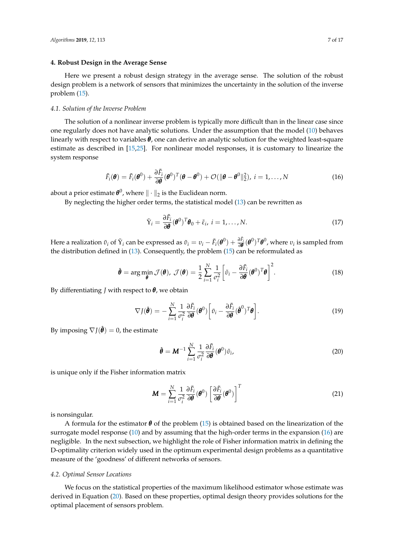## <span id="page-6-0"></span>**4. Robust Design in the Average Sense**

Here we present a robust design strategy in the average sense. The solution of the robust design problem is a network of sensors that minimizes the uncertainty in the solution of the inverse problem [\(15\)](#page-5-4).

#### *4.1. Solution of the Inverse Problem*

The solution of a nonlinear inverse problem is typically more difficult than in the linear case since one regularly does not have analytic solutions. Under the assumption that the model [\(10\)](#page-4-2) behaves linearly with respect to variables *θ*, one can derive an analytic solution for the weighted least-square estimate as described in [\[15,](#page-16-6)[25\]](#page-16-15). For nonlinear model responses, it is customary to linearize the system response

<span id="page-6-1"></span>
$$
\tilde{F}_i(\boldsymbol{\theta}) = \tilde{F}_i(\boldsymbol{\theta}^0) + \frac{\partial \tilde{F}_i}{\partial \boldsymbol{\theta}}(\boldsymbol{\theta}^0)^T(\boldsymbol{\theta} - \boldsymbol{\theta}^0) + \mathcal{O}(\|\boldsymbol{\theta} - \boldsymbol{\theta}^0\|_2^2), \ i = 1, ..., N
$$
\n(16)

about a prior estimate  $\pmb{\theta}^0$ , where  $\|\cdot\|_2$  is the Euclidean norm.

By neglecting the higher order terms, the statistical model [\(13\)](#page-5-2) can be rewritten as

$$
\tilde{\mathbf{Y}}_i = \frac{\partial \tilde{F}_i}{\partial \boldsymbol{\theta}} (\boldsymbol{\theta}^0)^T \boldsymbol{\theta}_0 + \tilde{\varepsilon}_i, \ i = 1, \dots, N. \tag{17}
$$

Here a realization  $\tilde{v}_i$  of  $\tilde{Y}_i$  can be expressed as  $\tilde{v}_i = v_i - \tilde{F}_i(\theta^0) + \frac{\partial \tilde{F}_i}{\partial \theta}(\theta^0)^T \theta^0$ , where  $v_i$  is sampled from the distribution defined in [\(13\)](#page-5-2). Consequently, the problem [\(15\)](#page-5-4) can be reformulated as

$$
\hat{\boldsymbol{\theta}} = \arg\min_{\boldsymbol{\theta}} \mathcal{J}(\boldsymbol{\theta}), \ \mathcal{J}(\boldsymbol{\theta}) = \frac{1}{2} \sum_{i=1}^{N} \frac{1}{\sigma_i^2} \left[ \tilde{v}_i - \frac{\partial \tilde{F}_i}{\partial \boldsymbol{\theta}} (\boldsymbol{\theta}^0)^T \boldsymbol{\theta} \right]^2.
$$
 (18)

By differentiating *J* with respect to *θ*, we obtain

$$
\nabla J(\hat{\boldsymbol{\theta}}) = -\sum_{i=1}^{N} \frac{1}{\sigma_i^2} \frac{\partial \tilde{F}_i}{\partial \boldsymbol{\theta}} (\boldsymbol{\theta}^0) \left[ \tilde{v}_i - \frac{\partial \tilde{F}_i}{\partial \boldsymbol{\theta}} (\hat{\boldsymbol{\theta}}^0)^T \boldsymbol{\theta} \right].
$$
 (19)

By imposing  $\nabla J(\hat{\boldsymbol{\theta}}) = 0$ , the estimate

<span id="page-6-2"></span>
$$
\hat{\boldsymbol{\theta}} = \boldsymbol{M}^{-1} \sum_{i=1}^{N} \frac{1}{\sigma_i^2} \frac{\partial \tilde{F}_i}{\partial \boldsymbol{\theta}} (\boldsymbol{\theta}^0) \tilde{v}_i,
$$
\n(20)

is unique only if the Fisher information matrix

<span id="page-6-3"></span>
$$
\boldsymbol{M} = \sum_{i=1}^{N} \frac{1}{\sigma_i^2} \frac{\partial \tilde{F}_i}{\partial \boldsymbol{\theta}} (\boldsymbol{\theta}^0) \left[ \frac{\partial \tilde{F}_i}{\partial \boldsymbol{\theta}} (\boldsymbol{\theta}^0) \right]^T
$$
(21)

is nonsingular.

A formula for the estimator  $\theta$  of the problem [\(15\)](#page-5-4) is obtained based on the linearization of the surrogate model response [\(10\)](#page-4-2) and by assuming that the high-order terms in the expansion [\(16\)](#page-6-1) are negligible. In the next subsection, we highlight the role of Fisher information matrix in defining the D-optimality criterion widely used in the optimum experimental design problems as a quantitative measure of the 'goodness' of different networks of sensors.

#### *4.2. Optimal Sensor Locations*

We focus on the statistical properties of the maximum likelihood estimator whose estimate was derived in Equation [\(20\)](#page-6-2). Based on these properties, optimal design theory provides solutions for the optimal placement of sensors problem.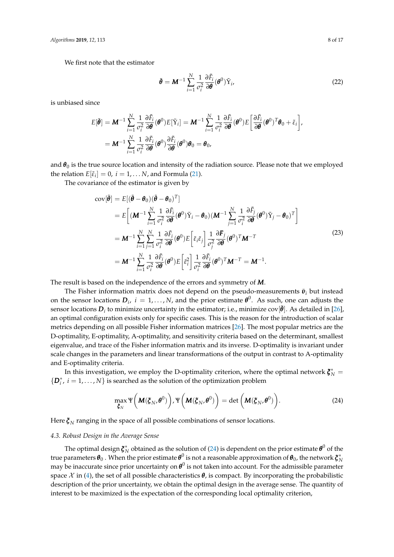We first note that the estimator

$$
\tilde{\boldsymbol{\theta}} = \boldsymbol{M}^{-1} \sum_{i=1}^{N} \frac{1}{\sigma_i^2} \frac{\partial \tilde{F}_i}{\partial \boldsymbol{\theta}} (\boldsymbol{\theta}^0) \tilde{Y}_i,
$$
\n(22)

is unbiased since

$$
E[\tilde{\boldsymbol{\theta}}] = \boldsymbol{M}^{-1} \sum_{i=1}^{N} \frac{1}{\sigma_i^2} \frac{\partial \tilde{F}_i}{\partial \boldsymbol{\theta}} (\boldsymbol{\theta}^0) E[\tilde{\Upsilon}_i] = \boldsymbol{M}^{-1} \sum_{i=1}^{N} \frac{1}{\sigma_i^2} \frac{\partial \tilde{F}_i}{\partial \boldsymbol{\theta}} (\boldsymbol{\theta}^0) E\left[\frac{\partial \tilde{F}_i}{\partial \boldsymbol{\theta}} (\boldsymbol{\theta}^0)^T \boldsymbol{\theta}_0 + \tilde{\varepsilon}_i\right],
$$
  
= 
$$
\boldsymbol{M}^{-1} \sum_{i=1}^{N} \frac{1}{\sigma_i^2} \frac{\partial \tilde{F}_i}{\partial \boldsymbol{\theta}} (\boldsymbol{\theta}^0) \frac{\partial \tilde{F}_i}{\partial \boldsymbol{\theta}} (\boldsymbol{\theta}^0) \boldsymbol{\theta}_0 = \boldsymbol{\theta}_0,
$$

and  $\theta_0$  is the true source location and intensity of the radiation source. Please note that we employed the relation  $E[\tilde{\varepsilon}_i] = 0$ ,  $i = 1, \ldots N$ , and Formula [\(21\)](#page-6-3).

<span id="page-7-0"></span>The covariance of the estimator is given by

$$
\begin{split}\n\text{cov}[\tilde{\boldsymbol{\theta}}] &= E[(\tilde{\boldsymbol{\theta}} - \boldsymbol{\theta}_{0})(\tilde{\boldsymbol{\theta}} - \boldsymbol{\theta}_{0})^{T}] \\
&= E\bigg[(\mathbf{M}^{-1}\sum_{i=1}^{N}\frac{1}{\sigma_{i}^{2}}\frac{\partial\tilde{F}_{i}}{\partial\boldsymbol{\theta}}(\boldsymbol{\theta}^{0})\tilde{Y}_{i} - \boldsymbol{\theta}_{0})(\mathbf{M}^{-1}\sum_{j=1}^{N}\frac{1}{\sigma_{i}^{2}}\frac{\partial\tilde{F}_{j}}{\partial\boldsymbol{\theta}}(\boldsymbol{\theta}^{0})\tilde{Y}_{j} - \boldsymbol{\theta}_{0})^{T}\bigg] \\
&= \mathbf{M}^{-1}\sum_{i=1}^{N}\sum_{j=1}^{N}\frac{1}{\sigma_{i}^{2}}\frac{\partial\tilde{F}_{i}}{\partial\boldsymbol{\theta}}(\boldsymbol{\theta}^{0})E\bigg[\tilde{\varepsilon}_{i}\tilde{\varepsilon}_{j}\bigg]\frac{1}{\sigma_{j}^{2}}\frac{\partial\tilde{F}_{j}}{\partial\boldsymbol{\theta}}(\boldsymbol{\theta}^{0})^{T}\mathbf{M}^{-T} \\
&= \mathbf{M}^{-1}\sum_{i=1}^{N}\frac{1}{\sigma_{i}^{2}}\frac{\partial\tilde{F}_{i}}{\partial\boldsymbol{\theta}}(\boldsymbol{\theta}^{0})E\bigg[\tilde{\varepsilon}_{i}^{2}\bigg]\frac{1}{\sigma_{i}^{2}}\frac{\partial\tilde{F}_{i}}{\partial\boldsymbol{\theta}}(\boldsymbol{\theta}^{0})^{T}\mathbf{M}^{-T} = \mathbf{M}^{-1}.\n\end{split} \tag{23}
$$

The result is based on the independence of the errors and symmetry of *M*.

The Fisher information matrix does not depend on the pseudo-measurements  $\bar{v}_i$  but instead on the sensor locations  $D_i$ ,  $i = 1,..., N$ , and the prior estimate  $\boldsymbol{\theta}^0$ . As such, one can adjusts the sensor locations  $D_i$  to minimize uncertainty in the estimator; i.e., minimize cov $[\tilde{\theta}]$ . As detailed in [\[26\]](#page-16-16), an optimal configuration exists only for specific cases. This is the reason for the introduction of scalar metrics depending on all possible Fisher information matrices [\[26\]](#page-16-16). The most popular metrics are the D-optimality, E-optimality, A-optimality, and sensitivity criteria based on the determinant, smallest eigenvalue, and trace of the Fisher information matrix and its inverse. D-optimality is invariant under scale changes in the parameters and linear transformations of the output in contrast to A-optimality and E-optimality criteria.

In this investigation, we employ the D-optimality criterion, where the optimal network  $\zeta_N^* =$  ${D}^*_i$ ,  $i = 1, ..., N$  is searched as the solution of the optimization problem

<span id="page-7-1"></span>
$$
\max_{\boldsymbol{\zeta}_N} \Psi\left(\boldsymbol{M}(\boldsymbol{\zeta}_N,\boldsymbol{\theta}^0)\right), \Psi\left(\boldsymbol{M}(\boldsymbol{\zeta}_N,\boldsymbol{\theta}^0)\right) = \det\left(\boldsymbol{M}(\boldsymbol{\zeta}_N,\boldsymbol{\theta}^0)\right). \tag{24}
$$

Here  $\xi_N$  ranging in the space of all possible combinations of sensor locations.

#### *4.3. Robust Design in the Average Sense*

The optimal design  $\bm{\zeta}_N^*$  obtained as the solution of [\(24\)](#page-7-1) is dependent on the prior estimate  $\bm{\theta}^0$  of the true parameters  $\bm{\theta}_0$  . When the prior estimate  $\bm{\theta}^0$  is not a reasonable approximation of  $\bm{\theta}_0$ , the network  $\bm{\xi}_N^*$ may be inaccurate since prior uncertainty on  $\pmb{\theta}^0$  is not taken into account. For the admissible parameter space  $\mathcal X$  in [\(4\)](#page-3-2), the set of all possible characteristics  $\theta$ , is compact. By incorporating the probabilistic description of the prior uncertainty, we obtain the optimal design in the average sense. The quantity of interest to be maximized is the expectation of the corresponding local optimality criterion,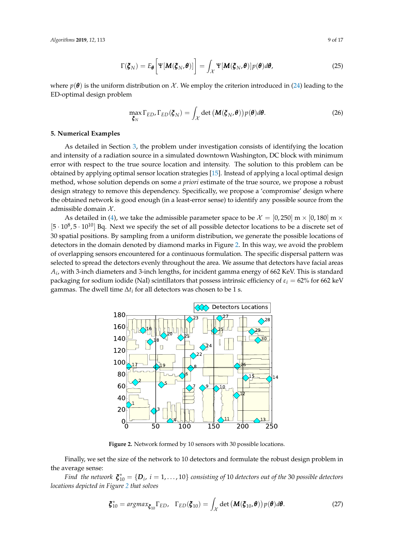*Algorithms* **2019**, *12*, 113 9 of 17

$$
\Gamma(\boldsymbol{\xi}_N) = E_{\boldsymbol{\theta}} \bigg[ \Psi[\boldsymbol{M}(\boldsymbol{\xi}_N, \boldsymbol{\theta})] \bigg] = \int_{\mathcal{X}} \Psi[\boldsymbol{M}(\boldsymbol{\xi}_N, \boldsymbol{\theta})] p(\boldsymbol{\theta}) d\boldsymbol{\theta}, \qquad (25)
$$

where  $p(\theta)$  is the uniform distribution on X. We employ the criterion introduced in [\(24\)](#page-7-1) leading to the ED-optimal design problem

$$
\max_{\boldsymbol{\zeta}_N} \Gamma_{ED}, \Gamma_{ED}(\boldsymbol{\zeta}_N) = \int_{\mathcal{X}} \det \left( \mathbf{M}(\boldsymbol{\zeta}_N, \boldsymbol{\theta}) \right) p(\boldsymbol{\theta}) d\boldsymbol{\theta}.
$$
 (26)

## <span id="page-8-0"></span>**5. Numerical Examples**

As detailed in Section [3,](#page-5-0) the problem under investigation consists of identifying the location and intensity of a radiation source in a simulated downtown Washington, DC block with minimum error with respect to the true source location and intensity. The solution to this problem can be obtained by applying optimal sensor location strategies [\[15\]](#page-16-6). Instead of applying a local optimal design method, whose solution depends on some *a priori* estimate of the true source, we propose a robust design strategy to remove this dependency. Specifically, we propose a 'compromise' design where the obtained network is good enough (in a least-error sense) to identify any possible source from the admissible domain  $X$ .

As detailed in [\(4\)](#page-3-2), we take the admissible parameter space to be  $\mathcal{X} = [0, 250]$  m  $\times$  [0, 180] m  $\times$  $[5 \cdot 10^8, 5 \cdot 10^{10}]$  Bq. Next we specify the set of all possible detector locations to be a discrete set of 30 spatial positions. By sampling from a uniform distribution, we generate the possible locations of detectors in the domain denoted by diamond marks in Figure [2.](#page-8-1) In this way, we avoid the problem of overlapping sensors encountered for a continuous formulation. The specific dispersal pattern was selected to spread the detectors evenly throughout the area. We assume that detectors have facial areas  $A_i$ , with 3-inch diameters and 3-inch lengths, for incident gamma energy of 662 KeV. This is standard packaging for sodium iodide (NaI) scintillators that possess intrinsic efficiency of  $\varepsilon_i$  = 62% for 662 keV gammas. The dwell time  $\Delta t_i$  for all detectors was chosen to be 1 s.

<span id="page-8-1"></span>

**Figure 2.** Network formed by 10 sensors with 30 possible locations.

Finally, we set the size of the network to 10 detectors and formulate the robust design problem in the average sense:

*Find the network*  $\boldsymbol{\xi}_{10}^* = \{\boldsymbol{D}_i, \ i = 1, \dots, 10\}$  consisting of 10 detectors out of the 30 possible detectors *locations depicted in Figure [2](#page-8-1) that solves*

<span id="page-8-2"></span>
$$
\boldsymbol{\xi}_{10}^* = \arg \max_{\boldsymbol{\xi}_{10}} \Gamma_{ED}, \quad \Gamma_{ED}(\boldsymbol{\xi}_{10}) = \int_{\mathcal{X}} \det \left( \boldsymbol{M}(\boldsymbol{\xi}_{10}, \boldsymbol{\theta}) \right) p(\boldsymbol{\theta}) d\boldsymbol{\theta}.
$$
 (27)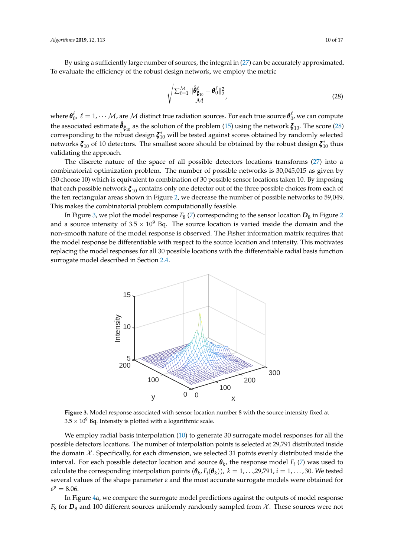By using a sufficiently large number of sources, the integral in [\(27\)](#page-8-2) can be accurately approximated. To evaluate the efficiency of the robust design network, we employ the metric

<span id="page-9-0"></span>
$$
\sqrt{\frac{\sum_{\ell=1}^{\mathcal{M}} \|\hat{\boldsymbol{\theta}}_{\boldsymbol{\xi}_{10}}^{\ell} - \boldsymbol{\theta}_{0}^{\ell}\|_{2}^{2}}{\mathcal{M}}},
$$
\n(28)

where  $\bm{\theta}^\ell_0$ ,  $\ell=1,\cdots M$ , are  $\cal M$  distinct true radiation sources. For each true source  $\bm{\theta}^\ell_0$ , we can compute the associated estimate  $\hat{\theta}_{\bm{\zeta}_{10}}$  as the solution of the problem [\(15\)](#page-5-4) using the network  $\bm{\zeta}_{10}$ . The score [\(28\)](#page-9-0) corresponding to the robust design  $\zeta_{10}^*$  will be tested against scores obtained by randomly selected networks  $\boldsymbol{\xi}_{10}$  of 10 detectors. The smallest score should be obtained by the robust design  $\boldsymbol{\xi}_{10}^*$  thus validating the approach.

The discrete nature of the space of all possible detectors locations transforms [\(27\)](#page-8-2) into a combinatorial optimization problem. The number of possible networks is 30,045,015 as given by (30 choose 10) which is equivalent to combination of 30 possible sensor locations taken 10. By imposing that each possible network *ξ* <sup>10</sup> contains only one detector out of the three possible choices from each of the ten rectangular areas shown in Figure [2,](#page-8-1) we decrease the number of possible networks to 59,049. This makes the combinatorial problem computationally feasible.

<span id="page-9-1"></span>In Figure [3,](#page-9-1) we plot the model response  $F_8$  [\(7\)](#page-4-0) corresponding to the sensor location  $D_8$  in Figure [2](#page-8-1) and a source intensity of  $3.5 \times 10^9$  Bq. The source location is varied inside the domain and the non-smooth nature of the model response is observed. The Fisher information matrix requires that the model response be differentiable with respect to the source location and intensity. This motivates replacing the model responses for all 30 possible locations with the differentiable radial basis function surrogate model described in Section [2.4.](#page-4-3)



**Figure 3.** Model response associated with sensor location number 8 with the source intensity fixed at  $3.5 \times 10^9$  Bq. Intensity is plotted with a logarithmic scale.

We employ radial basis interpolation [\(10\)](#page-4-2) to generate 30 surrogate model responses for all the possible detectors locations. The number of interpolation points is selected at 29,791 distributed inside the domain  $\mathcal X$ . Specifically, for each dimension, we selected 31 points evenly distributed inside the interval. For each possible detector location and source  $\boldsymbol{\theta}_k$ , the response model  $F_i$  [\(7\)](#page-4-0) was used to calculate the corresponding interpolation points  $(\pmb{\theta}_k, F_i(\pmb{\theta}_k))$ ,  $k = 1, ..., 29,791$ ,  $i = 1, ..., 30$ . We tested several values of the shape parameter *ε* and the most accurate surrogate models were obtained for  $\varepsilon^p = 8.06$ .

In Figure [4a](#page-10-0), we compare the surrogate model predictions against the outputs of model response  $F_8$  for  $D_8$  and 100 different sources uniformly randomly sampled from  $\mathcal{X}$ . These sources were not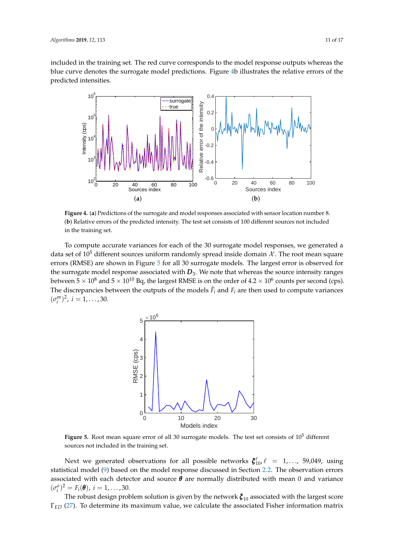included in the training set. The red curve corresponds to the model response outputs whereas the blue curve denotes the surrogate model predictions. Figure [4b](#page-10-0) illustrates the relative errors of the predicted intensities.

<span id="page-10-0"></span>

**Figure 4.** (**a**) Predictions of the surrogate and model responses associated with sensor location number 8. (**b**) Relative errors of the predicted intensity. The test set consists of 100 different sources not included in the training set.

<span id="page-10-1"></span>To compute accurate variances for each of the 30 surrogate model responses, we generated a data set of 10<sup>5</sup> different sources uniform randomly spread inside domain  $\mathcal{X}$ . The root mean square errors (RMSE) are shown in Figure [5](#page-10-1) for all 30 surrogate models. The largest error is observed for the surrogate model response associated with  $D_3$ . We note that whereas the source intensity ranges between 5  $\times$  10 $^{8}$  and 5  $\times$  10 $^{10}$  Bq, the largest RMSE is on the order of 4.2  $\times$  10 $^{6}$  counts per second (cps). The discrepancies between the outputs of the models  $\tilde{F}_i$  and  $F_i$  are then used to compute variances  $(\sigma_i^m)^2$ ,  $i = 1, \ldots, 30$ .



Figure 5. Root mean square error of all 30 surrogate models. The test set consists of 10<sup>5</sup> different sources not included in the training set.

Next we generated observations for all possible networks  $\xi_{10}^{\ell}$ ,  $\ell = 1,..., 59,049$ , using statistical model [\(9\)](#page-4-1) based on the model response discussed in Section [2.2.](#page-3-3) The observation errors associated with each detector and source *θ* are normally distributed with mean 0 and variance  $(\sigma_i^o)^2 = F_i(\theta), i = 1, ..., 30.$ 

The robust design problem solution is given by the network *ξ* <sup>10</sup> associated with the largest score Γ*ED* [\(27\)](#page-8-2). To determine its maximum value, we calculate the associated Fisher information matrix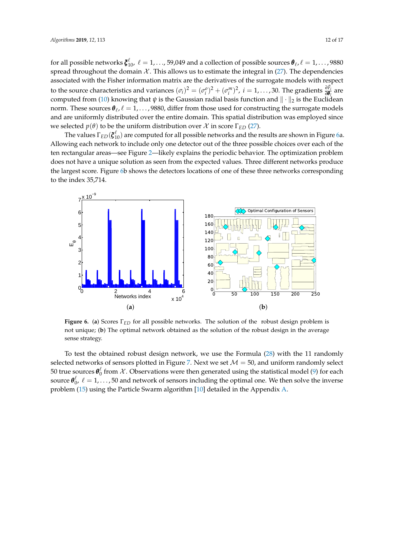for all possible networks  $\bm{\zeta}_{10}^\ell$ ,  $\ell=1,\ldots$ , 59,049 and a collection of possible sources  $\bm{\theta}_\ell$ ,  $\ell=1,\ldots$ , 9880 spread throughout the domain  $\mathcal X$ . This allows us to estimate the integral in [\(27\)](#page-8-2). The dependencies associated with the Fisher information matrix are the derivatives of the surrogate models with respect to the source characteristics and variances  $(\sigma_i)^2 = (\sigma_i^o)^2 + (\sigma_i^m)^2$ ,  $i = 1, ..., 30$ . The gradients  $\frac{\partial \tilde{F}_i}{\partial \theta_l}$  are computed from [\(10\)](#page-4-2) knowing that  $\psi$  is the Gaussian radial basis function and  $\|\cdot\|_2$  is the Euclidean norm. These sources  $\bm{\theta}_\ell$  ,  $\ell=1,\ldots$  , 9880, differ from those used for constructing the surrogate models and are uniformly distributed over the entire domain. This spatial distribution was employed since we selected *p*(*θ*) to be the uniform distribution over X in score  $\Gamma$ <sub>*ED*</sub> [\(27\)](#page-8-2).

The values  $\Gamma_{ED}(\bm{\xi}_{10}^{\ell})$  are computed for all possible networks and the results are shown in Figure [6a](#page-11-0). Allowing each network to include only one detector out of the three possible choices over each of the ten rectangular areas—see Figure [2—](#page-8-1)likely explains the periodic behavior. The optimization problem does not have a unique solution as seen from the expected values. Three different networks produce the largest score. Figure [6b](#page-11-0) shows the detectors locations of one of these three networks corresponding to the index 35,714.

<span id="page-11-0"></span>

**Figure 6.** (**a**) Scores Γ*ED* for all possible networks. The solution of the robust design problem is not unique; (**b**) The optimal network obtained as the solution of the robust design in the average sense strategy.

To test the obtained robust design network, we use the Formula [\(28\)](#page-9-0) with the 11 randomly selected networks of sensors plotted in Figure [7.](#page-12-0) Next we set  $M = 50$ , and uniform randomly select 50 true sources  $\theta_0^{\ell}$  from  $\chi$ . Observations were then generated using the statistical model [\(9\)](#page-4-1) for each source  $\pmb{\theta}^\ell_0$ ,  $\ell=1,\ldots$  , 50 and network of sensors including the optimal one. We then solve the inverse problem [\(15\)](#page-5-4) using the Particle Swarm algorithm [\[10\]](#page-16-1) detailed in the Appendix [A.](#page-14-0)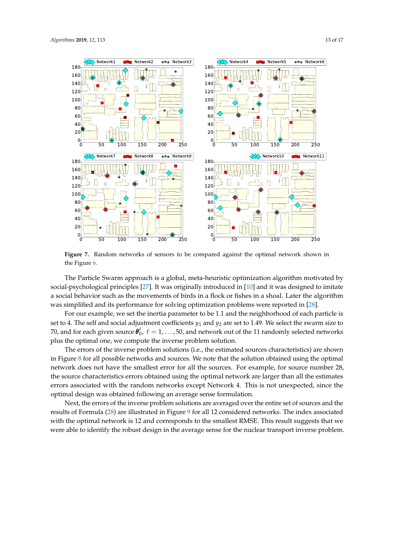<span id="page-12-0"></span>

**Figure 7.** Random networks of sensors to be compared against the optimal network shown in the Figure [6.](#page-11-0)

The Particle Swarm approach is a global, meta-heuristic optimization algorithm motivated by social-psychological principles [\[27\]](#page-16-17). It was originally introduced in [\[10\]](#page-16-1) and it was designed to imitate a social behavior such as the movements of birds in a flock or fishes in a shoal. Later the algorithm was simplified and its performance for solving optimization problems were reported in [\[28\]](#page-16-18).

For our example, we set the inertia parameter to be 1.1 and the neighborhood of each particle is set to 4. The self and social adjustment coefficients  $y_1$  and  $y_2$  are set to 1.49. We select the swarm size to 70, and for each given source  $\pmb{\theta}^\ell_0$ ,  $\ell = 1, \ldots$  , 50, and network out of the 11 randomly selected networks plus the optimal one, we compute the inverse problem solution.

The errors of the inverse problem solutions (i.e., the estimated sources characteristics) are shown in Figure [8](#page-13-1) for all possible networks and sources. We note that the solution obtained using the optimal network does not have the smallest error for all the sources. For example, for source number 28, the source characteristics errors obtained using the optimal network are larger than all the estimates errors associated with the random networks except Network 4. This is not unexpected, since the optimal design was obtained following an average sense formulation.

Next, the errors of the inverse problem solutions are averaged over the entire set of sources and the results of Formula [\(28\)](#page-9-0) are illustrated in Figure [9](#page-13-2) for all 12 considered networks. The index associated with the optimal network is 12 and corresponds to the smallest RMSE. This result suggests that we were able to identify the robust design in the average sense for the nuclear transport inverse problem.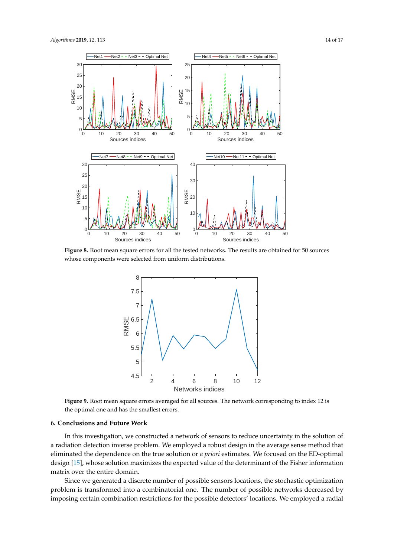<span id="page-13-1"></span>

<span id="page-13-2"></span>**Figure 8.** Root mean square errors for all the tested networks. The results are obtained for 50 sources whose components were selected from uniform distributions.



**Figure 9.** Root mean square errors averaged for all sources. The network corresponding to index 12 is the optimal one and has the smallest errors.

# <span id="page-13-0"></span>**6. Conclusions and Future Work**

In this investigation, we constructed a network of sensors to reduce uncertainty in the solution of a radiation detection inverse problem. We employed a robust design in the average sense method that eliminated the dependence on the true solution or *a priori* estimates. We focused on the ED-optimal design [\[15\]](#page-16-6), whose solution maximizes the expected value of the determinant of the Fisher information matrix over the entire domain.

Since we generated a discrete number of possible sensors locations, the stochastic optimization problem is transformed into a combinatorial one. The number of possible networks decreased by imposing certain combination restrictions for the possible detectors' locations. We employed a radial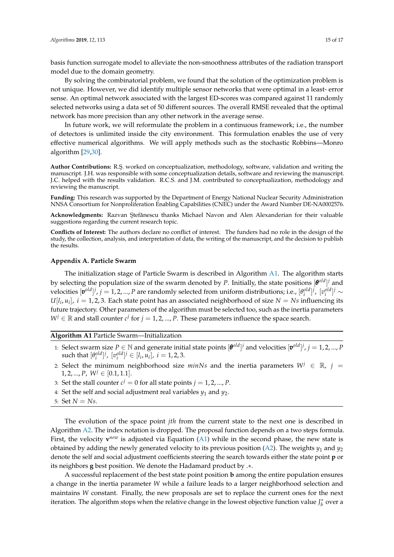basis function surrogate model to alleviate the non-smoothness attributes of the radiation transport model due to the domain geometry.

By solving the combinatorial problem, we found that the solution of the optimization problem is not unique. However, we did identify multiple sensor networks that were optimal in a least- error sense. An optimal network associated with the largest ED-scores was compared against 11 randomly selected networks using a data set of 50 different sources. The overall RMSE revealed that the optimal network has more precision than any other network in the average sense.

In future work, we will reformulate the problem in a continuous framework; i.e., the number of detectors is unlimited inside the city environment. This formulation enables the use of very effective numerical algorithms. We will apply methods such as the stochastic Robbins—Monro algorithm [\[29](#page-16-19)[,30\]](#page-16-20).

Author Contributions: R.Ş. worked on conceptualization, methodology, software, validation and writing the manuscript. J.H. was responsible with some conceptualization details, software and reviewing the manuscript. J.C. helped with the results validation. R.C.S. and J.M. contributed to conceptualization, methodology and reviewing the manuscript.

**Funding:** This research was supported by the Department of Energy National Nuclear Security Administration NNSA Consortium for Nonproliferation Enabling Capabilities (CNEC) under the Award Number DE-NA0002576.

Acknowledgments: Razvan Ştefănescu thanks Michael Navon and Alen Alexanderian for their valuable suggestions regarding the current research topic.

**Conflicts of Interest:** The authors declare no conflict of interest. The funders had no role in the design of the study, the collection, analysis, and interpretation of data, the writing of the manuscript, and the decision to publish the results.

## <span id="page-14-0"></span>**Appendix A. Particle Swarm**

The initialization stage of Particle Swarm is described in Algorithm [A1.](#page-14-1) The algorithm starts by selecting the population size of the swarm denoted by *P*. Initially, the state positions [*θ old*] *<sup>j</sup>* and velocities  $[\pmb{v}^{old}]^j$ ,  $j = 1, 2, ..., P$  are randomly selected from uniform distributions; i.e.,  $[\theta_i^{old}]^j$ ,  $[v_i^{old}]^j \sim$  $U[l_i, u_i]$ ,  $i = 1, 2, 3$ . Each state point has an associated neighborhood of size  $N = Ns$  influencing its future trajectory. Other parameters of the algorithm must be selected too, such as the inertia parameters *W*<sup>*j*</sup> ∈  $\mathbb R$  and stall counter *c*<sup>*j*</sup> for *j* = 1, 2, ..., *P*. These parameters influence the space search.

# <span id="page-14-1"></span>**Algorithm A1** Particle Swarm—Initialization

- 1: Select swarm size  $P \in \mathbb{N}$  and generate initial state points  $[\theta^{old}]^j$  and velocities  $[\theta^{old}]^j$ ,  $j = 1, 2, ..., P$  $\text{such that } [\theta_i^{old}]^j, [\upsilon_i^{old}]^j \in [l_i, u_i], i = 1, 2, 3.$
- 2: Select the minimum neighborhood size *minNs* and the inertia parameters  $W^j \in \mathbb{R}$ ,  $j =$ 1, 2, ..., *P*,  $W^j \in [0.1, 1.1]$ .
- 3: Set the stall counter  $c^j = 0$  for all state points  $j = 1, 2, ..., P$ .
- 4: Set the self and social adjustment real variables  $y_1$  and  $y_2$ .
- 5: Set  $N = Ns$ .

The evolution of the space point *jth* from the current state to the next one is described in Algorithm [A2.](#page-15-8) The index notation is dropped. The proposal function depends on a two steps formula. First, the velocity  $\mathbf{v}^{new}$  is adjusted via Equation [\(A1\)](#page-15-9) while in the second phase, the new state is obtained by adding the newly generated velocity to its previous position [\(A2\)](#page-15-10). The weights *y*<sup>1</sup> and *y*<sup>2</sup> denote the self and social adjustment coefficients steering the search towards either the state point **p** or its neighbors **g** best position. We denote the Hadamard product by .∗.

A successful replacement of the best state point position **b** among the entire population ensures a change in the inertia parameter *W* while a failure leads to a larger neighborhood selection and maintains *W* constant. Finally, the new proposals are set to replace the current ones for the next iteration. The algorithm stops when the relative change in the lowest objective function value  $J_b^*$  over a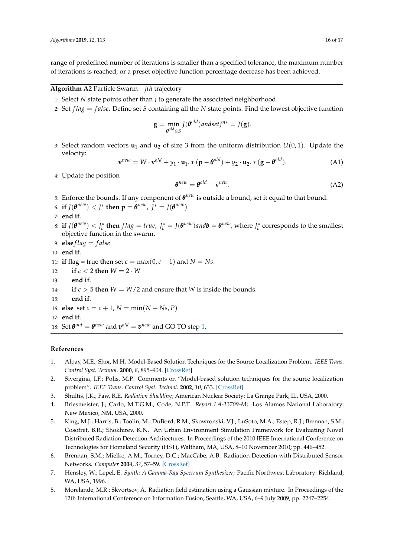range of predefined number of iterations is smaller than a specified tolerance, the maximum number of iterations is reached, or a preset objective function percentage decrease has been achieved.

# <span id="page-15-8"></span>**Algorithm A2** Particle Swarm—*jth* trajectory

- 1: Select *N* state points other than *j* to generate the associated neighborhood.
- 2: Set *f lag* = *f alse*. Define set *S* containing all the *N* state points. Find the lowest objective function

$$
\mathbf{g} = \min_{\boldsymbol{\theta}^{old} \in S} J(\boldsymbol{\theta}^{old}) and setJ^{n*} = J(\mathbf{g}).
$$

3: Select random vectors  $\mathbf{u}_1$  and  $\mathbf{u}_2$  of size 3 from the uniform distribution  $U(0, 1)$ . Update the velocity:

<span id="page-15-9"></span>
$$
\mathbf{v}^{new} = W \cdot \mathbf{v}^{old} + y_1 \cdot \mathbf{u}_1. * (\mathbf{p} - \boldsymbol{\theta}^{old}) + y_2 \cdot \mathbf{u}_2. * (\mathbf{g} - \boldsymbol{\theta}^{old}). \tag{A1}
$$

4: Update the position

<span id="page-15-10"></span>
$$
\boldsymbol{\theta}^{new} = \boldsymbol{\theta}^{old} + \mathbf{v}^{new}.\tag{A2}
$$

- 5: Enforce the bounds. If any component of  $\theta^{new}$  is outside a bound, set it equal to that bound.
- 6: **if**  $J(\boldsymbol{\theta}^{new}) < J^*$  then  $\mathbf{p} = \boldsymbol{\theta}^{new}$ ,  $J^* = J(\boldsymbol{\theta}^{new})$
- 7: **end if**.
- 8: if  $J(\theta^{new}) < J_b^*$  then  $flag = true$ ,  $J_b^* = J(\theta^{new})$  and  $b = \theta^{new}$ , where  $J_b^*$  corresponds to the smallest objective function in the swarm.
- 9:  $elseflag = false$
- 10: **end if**.

11: **if** flag = true **then** set  $c = max(0, c - 1)$  and  $N = Ns$ .

- 12: **if**  $c < 2$  **then**  $W = 2 \cdot W$
- 13: **end if**.
- 14: **if**  $c > 5$  **then**  $W = W/2$  and ensure that  $W$  is inside the bounds.
- 15: **end if**.
- 16: **else** set  $c = c + 1$ ,  $N = min(N + Ns, P)$
- 17: **end if**.
- 18: Set  $\boldsymbol{\theta}^{old} = \boldsymbol{\theta}^{new}$  and  $\boldsymbol{v}^{old} = \boldsymbol{v}^{new}$  and GO TO step [1.](#page-15-8)

## **References**

- <span id="page-15-0"></span>1. Alpay, M.E.; Shor, M.H. Model-Based Solution Techniques for the Source Localization Problem. *IEEE Trans. Control Syst. Technol.* **2000**, *8*, 895–904. [\[CrossRef\]](http://dx.doi.org/10.1109/87.880592)
- <span id="page-15-1"></span>2. Sivergina, I.F.; Polis, M.P. Comments on "Model-based solution techniques for the source localization problem". *IEEE Trans. Control Syst. Technol.* **2002**, *10*, 633. [\[CrossRef\]](http://dx.doi.org/10.1109/TCST.2002.1014683)
- <span id="page-15-2"></span>3. Shultis, J.K.; Faw, R.E. *Radiation Shielding*; American Nuclear Society: La Grange Park, IL, USA, 2000.
- <span id="page-15-3"></span>4. Briesmeister, J.; Carlo, M.T.G.M.; Code, N.P.T. *Report LA-13709-M*; Los Alamos National Laboratory: New Mexico, NM, USA, 2000.
- <span id="page-15-4"></span>5. King, M.J.; Harris, B.; Toolin, M.; DuBord, R.M.; Skowronski, V.J.; LuSoto, M.A.; Estep, R.J.; Brennan, S.M.; Cosofret, B.R.; Shokhirev, K.N. An Urban Environment Simulation Framework for Evaluating Novel Distributed Radiation Detection Architectures. In Proceedings of the 2010 IEEE International Conference on Technologies for Homeland Security (HST), Waltham, MA, USA, 8–10 November 2010; pp. 446–452.
- <span id="page-15-5"></span>6. Brennan, S.M.; Mielke, A.M.; Torney, D.C.; MacCabe, A.B. Radiation Detection with Distributed Sensor Networks. *Computer* **2004**, *37*, 57–59. [\[CrossRef\]](http://dx.doi.org/10.1109/MC.2004.103)
- <span id="page-15-6"></span>7. Hensley, W.; Lepel, E. *Synth: A Gamma-Ray Spectrum Synthesizer*; Pacific Northwest Laboratory: Richland, WA, USA, 1996.
- <span id="page-15-7"></span>8. Morelande, M.R.; Skvortsov, A. Radiation field estimation using a Gaussian mixture. In Proceedings of the 12th International Conference on Information Fusion, Seattle, WA, USA, 6–9 July 2009; pp. 2247–2254.